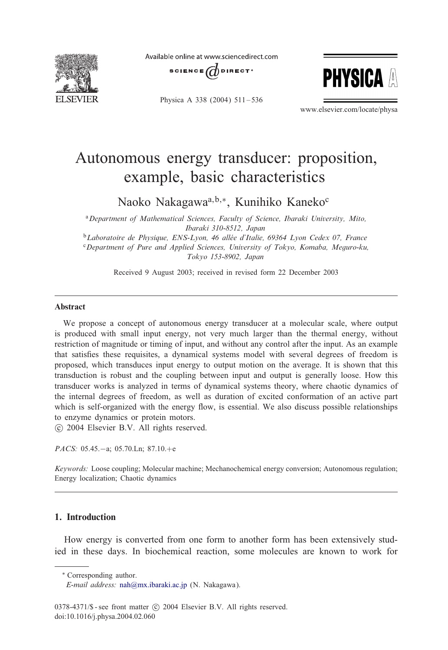

Available online at www.sciencedirect.com



Physica A 338 (2004) 511-536



www.elsevier.com/locate/physa

# Autonomous energy transducer: proposition, example, basic characteristics

Naoko Nakagawa<sup>a, b,∗</sup>, Kunihiko Kaneko<sup>c</sup>

<sup>a</sup>*Department of Mathematical Sciences, Faculty of Science, Ibaraki University, Mito, Ibaraki 310-8512, Japan*

<sup>b</sup>*Laboratoire de Physique, ENS-Lyon, 46 allee d'Italie, 69364 Lyon Cedex 07, France +* <sup>c</sup>*Department of Pure and Applied Sciences, University of Tokyo, Komaba, Meguro-ku, Tokyo 153-8902, Japan*

Received 9 August 2003; received in revised form 22 December 2003

#### Abstract

We propose a concept of autonomous energy transducer at a molecular scale, where output is produced with small input energy, not very much larger than the thermal energy, without restriction of magnitude or timing of input, and without any control after the input. As an example that satisfies these requisites, a dynamical systems model with several degrees of freedom is proposed, which transduces input energy to output motion on the average. It is shown that this transduction is robust and the coupling between input and output is generally loose. How this transducer works is analyzed in terms of dynamical systems theory, where chaotic dynamics of the internal degrees of freedom, as well as duration of excited conformation of an active part which is self-organized with the energy flow, is essential. We also discuss possible relationships to enzyme dynamics or protein motors.

-c 2004 Elsevier B.V. All rights reserved.

*PACS:* 05.45.−a; 05.70.Ln; 87.10.+e

*Keywords:* Loose coupling; Molecular machine; Mechanochemical energy conversion; Autonomous regulation; Energy localization; Chaotic dynamics

# 1. Introduction

How energy is converted from one form to another form has been extensively studied in these days. In biochemical reaction, some molecules are known to work for

<sup>∗</sup> Corresponding author.

*E-mail address:* [nah@mx.ibaraki.ac.jp](mailto:nah@mx.ibaraki.ac.jp) (N. Nakagawa).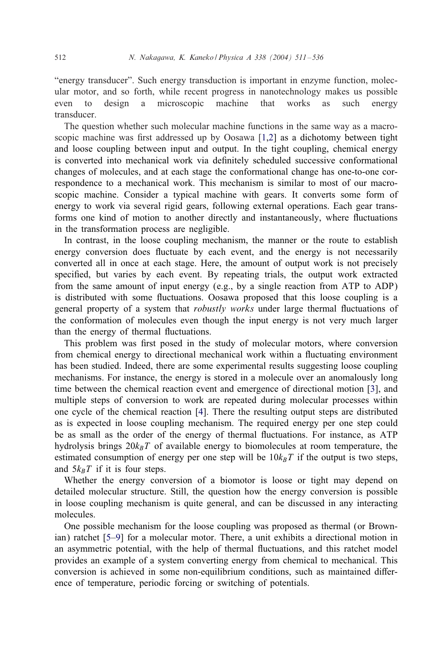"energy transducer". Such energy transduction is important in enzyme function, molecular motor, and so forth, while recent progress in nanotechnology makes us possible even to design a microscopic machine that works as such energy transducer.

The question whether such molecular machine functions in the same way as a macroscopic machine was first addressed up by Oosawa  $[1,2]$  as a dichotomy between tight and loose coupling between input and output. In the tight coupling, chemical energy is converted into mechanical work via definitely scheduled successive conformational changes of molecules, and at each stage the conformational change has one-to-one correspondence to a mechanical work. This mechanism is similar to most of our macroscopic machine. Consider a typical machine with gears. It converts some form of energy to work via several rigid gears, following external operations. Each gear transforms one kind of motion to another directly and instantaneously, where fluctuations in the transformation process are negligible.

In contrast, in the loose coupling mechanism, the manner or the route to establish energy conversion does fluctuate by each event, and the energy is not necessarily converted all in once at each stage. Here, the amount of output work is not precisely specified, but varies by each event. By repeating trials, the output work extracted from the same amount of input energy (e.g., by a single reaction from ATP to ADP) is distributed with some fluctuations. Oosawa proposed that this loose coupling is a general property of a system that *robustly works* under large thermal fluctuations of the conformation of molecules even though the input energy is not very much larger than the energy of thermal fluctuations.

This problem was first posed in the study of molecular motors, where conversion from chemical energy to directional mechanical work within a fluctuating environment has been studied. Indeed, there are some experimental results suggesting loose coupling mechanisms. For instance, the energy is stored in a molecule over an anomalously long time between the chemical reaction event and emergence of directional motion [\[3\]](#page-24-0), and multiple steps of conversion to work are repeated during molecular processes within one cycle of the chemical reaction [\[4\]](#page-24-0). There the resulting output steps are distributed as is expected in loose coupling mechanism. The required energy per one step could be as small as the order of the energy of thermal fluctuations. For instance, as ATP hydrolysis brings  $20k_BT$  of available energy to biomolecules at room temperature, the estimated consumption of energy per one step will be  $10k_BT$  if the output is two steps, and  $5k_BT$  if it is four steps.

Whether the energy conversion of a biomotor is loose or tight may depend on detailed molecular structure. Still, the question how the energy conversion is possible in loose coupling mechanism is quite general, and can be discussed in any interacting molecules.

One possible mechanism for the loose coupling was proposed as thermal (or Brownian) ratchet [\[5–9\]](#page-24-0) for a molecular motor. There, a unit exhibits a directional motion in an asymmetric potential, with the help of thermal fluctuations, and this ratchet model provides an example of a system converting energy from chemical to mechanical. This conversion is achieved in some non-equilibrium conditions, such as maintained difference of temperature, periodic forcing or switching of potentials.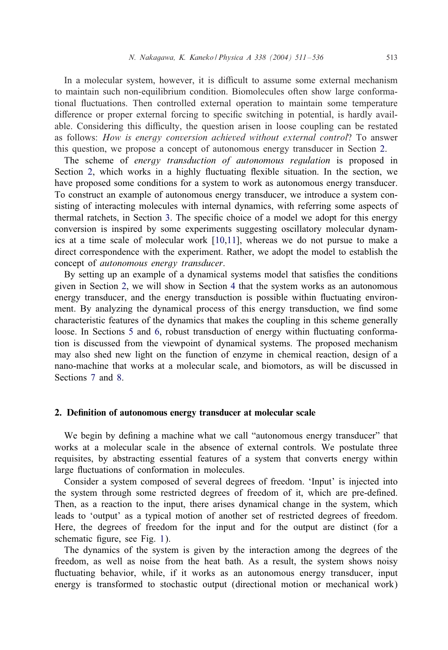<span id="page-2-0"></span>In a molecular system, however, it is difficult to assume some external mechanism to maintain such non-equilibrium condition. Biomolecules often show large conformational 6uctuations. Then controlled external operation to maintain some temperature difference or proper external forcing to specific switching in potential, is hardly available. Considering this difficulty, the question arisen in loose coupling can be restated as follows: *How is energy conversion achieved without external control*? To answer this question, we propose a concept of autonomous energy transducer in Section 2.

The scheme of *energy transduction of autonomous regulation* is proposed in Section 2, which works in a highly fluctuating flexible situation. In the section, we have proposed some conditions for a system to work as autonomous energy transducer. To construct an example of autonomous energy transducer, we introduce a system consisting of interacting molecules with internal dynamics, with referring some aspects of thermal ratchets, in Section [3.](#page-4-0) The specific choice of a model we adopt for this energy conversion is inspired by some experiments suggesting oscillatory molecular dynamics at a time scale of molecular work [\[10,11\]](#page-24-0), whereas we do not pursue to make a direct correspondence with the experiment. Rather, we adopt the model to establish the concept of *autonomous energy transducer*.

By setting up an example of a dynamical systems model that satisfies the conditions given in Section 2, we will show in Section [4](#page-6-0) that the system works as an autonomous energy transducer, and the energy transduction is possible within fluctuating environment. By analyzing the dynamical process of this energy transduction, we find some characteristic features of the dynamics that makes the coupling in this scheme generally loose. In Sections [5](#page-9-0) and [6,](#page-13-0) robust transduction of energy within fluctuating conformation is discussed from the viewpoint of dynamical systems. The proposed mechanism may also shed new light on the function of enzyme in chemical reaction, design of a nano-machine that works at a molecular scale, and biomotors, as will be discussed in Sections [7](#page-18-0) and [8.](#page-21-0)

#### 2. Definition of autonomous energy transducer at molecular scale

We begin by defining a machine what we call "autonomous energy transducer" that works at a molecular scale in the absence of external controls. We postulate three requisites, by abstracting essential features of a system that converts energy within large fluctuations of conformation in molecules.

Consider a system composed of several degrees of freedom. 'Input' is injected into the system through some restricted degrees of freedom of it, which are pre-defined. Then, as a reaction to the input, there arises dynamical change in the system, which leads to 'output' as a typical motionof another set of restricted degrees of freedom. Here, the degrees of freedom for the input and for the output are distinct (for a schematic figure, see Fig.  $1$ ).

The dynamics of the system is given by the interaction among the degrees of the freedom, as well as noise from the heat bath. As a result, the system shows noisy fluctuating behavior, while, if it works as an autonomous energy transducer, input energy is transformed to stochastic output (directional motion or mechanical work)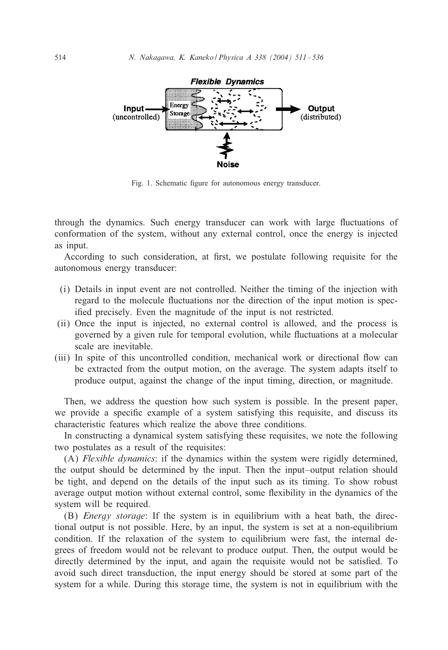<span id="page-3-0"></span>

Fig. 1. Schematic figure for autonomous energy transducer.

through the dynamics. Such energy transducer can work with large fluctuations of conformation of the system, without any external control, once the energy is injected as input.

According to such consideration, at first, we postulate following requisite for the autonomous energy transducer:

- (i) Details in input event are not controlled. Neither the timing of the injection with regard to the molecule fluctuations nor the direction of the input motion is specified precisely. Even the magnitude of the input is not restricted.
- (ii) Once the input is injected, no external control is allowed, and the process is governed by a given rule for temporal evolution, while fluctuations at a molecular scale are inevitable.
- (iii) In spite of this uncontrolled condition, mechanical work or directional 6ow can be extracted from the output motion, on the average. The system adapts itself to produce output, against the change of the input timing, direction, or magnitude.

Then, we address the question how such system is possible. In the present paper, we provide a specific example of a system satisfying this requisite, and discuss its characteristic features which realize the above three conditions.

In constructing a dynamical system satisfying these requisites, we note the following two postulates as a result of the requisites:

(A) *Flexible dynamics*: if the dynamics within the system were rigidly determined, the output should be determined by the input. Then the input–output relation should be tight, and depend on the details of the input such as its timing. To show robust average output motion without external control, some flexibility in the dynamics of the system will be required.

(B) *Energy storage*: If the system is inequilibrium with a heat bath, the directional output is not possible. Here, by an input, the system is set at a non-equilibrium condition. If the relaxation of the system to equilibrium were fast, the internal degrees of freedom would not be relevant to produce output. Then, the output would be directly determined by the input, and again the requisite would not be satisfied. To avoid such direct transduction, the input energy should be stored at some part of the system for a while. During this storage time, the system is not in equilibrium with the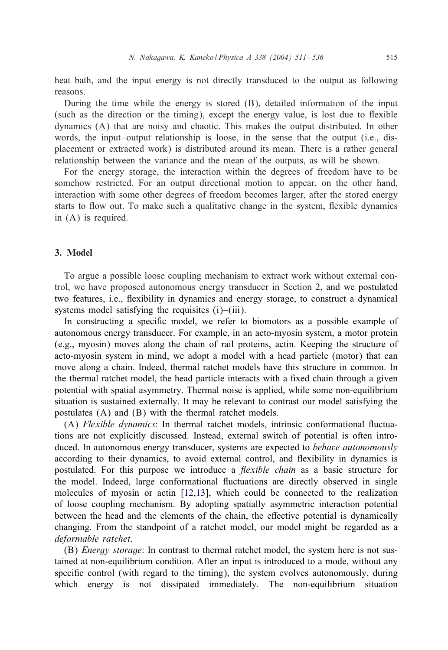<span id="page-4-0"></span>heat bath, and the input energy is not directly transduced to the output as following reasons.

During the time while the energy is stored (B), detailed information of the input (such as the direction or the timing), except the energy value, is lost due to flexible dynamics (A) that are noisy and chaotic. This makes the output distributed. In other words, the input–output relationship is loose, in the sense that the output (i.e., displacement or extracted work) is distributed around its mean. There is a rather general relationship between the variance and the mean of the outputs, as will be shown.

For the energy storage, the interaction within the degrees of freedom have to be somehow restricted. For an output directional motion to appear, on the other hand, interaction with some other degrees of freedom becomes larger, after the stored energy starts to flow out. To make such a qualitative change in the system, flexible dynamics in(A) is required.

## 3. Model

To argue a possible loose coupling mechanism to extract work without external control, we have proposed autonomous energy transducer in Section [2,](#page-2-0) and we postulated two features, i.e., 6exibility in dynamics and energy storage, to construct a dynamical systems model satisfying the requisites (i)–(iii).

In constructing a specific model, we refer to biomotors as a possible example of autonomous energy transducer. For example, in an acto-myosin system, a motor protein (e.g., myosin) moves along the chain of rail proteins, actin. Keeping the structure of acto-myosin system in mind, we adopt a model with a head particle (motor) that can move along a chain. Indeed, thermal ratchet models have this structure in common. In the thermal ratchet model, the head particle interacts with a fixed chain through a given potential with spatial asymmetry. Thermal noise is applied, while some non-equilibrium situation is sustained externally. It may be relevant to contrast our model satisfying the postulates (A) and (B) with the thermal ratchet models.

(A) *Flexible dynamics*: In thermal ratchet models, intrinsic conformational 6uctuations are not explicitly discussed. Instead, external switch of potential is often introduced. In autonomous energy transducer, systems are expected to *behave autonomously* according to their dynamics, to avoid external control, and flexibility in dynamics is postulated. For this purpose we introduce a *flexible chain* as a basic structure for the model. Indeed, large conformational fluctuations are directly observed in single molecules of myosin or actin  $[12,13]$ , which could be connected to the realization of loose coupling mechanism. By adopting spatially asymmetric interaction potential between the head and the elements of the chain, the effective potential is dynamically changing. From the standpoint of a ratchet model, our model might be regarded as a *deformable ratchet*.

(B) *Energy storage*: In contrast to thermal ratchet model, the system here is not sustained at non-equilibrium condition. After an input is introduced to a mode, without any specific control (with regard to the timing), the system evolves autonomously, during which energy is not dissipated immediately. The non-equilibrium situation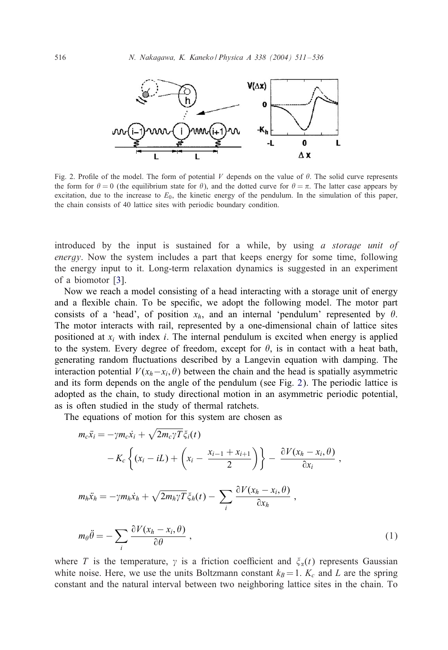<span id="page-5-0"></span>

Fig. 2. Profile of the model. The form of potential V depends on the value of  $\theta$ . The solid curve represents the form for  $\theta = 0$  (the equilibrium state for  $\theta$ ), and the dotted curve for  $\theta = \pi$ . The latter case appears by excitation, due to the increase to  $E_0$ , the kinetic energy of the pendulum. In the simulation of this paper, the chain consists of 40 lattice sites with periodic boundary condition.

introduced by the input is sustained for a while, by using *a storage unit of energy*. Now the system includes a part that keeps energy for some time, following the energy input to it. Long-term relaxation dynamics is suggested in an experiment of a biomotor [\[3\]](#page-24-0).

Now we reach a model consisting of a head interacting with a storage unit of energy and a flexible chain. To be specific, we adopt the following model. The motor part consists of a 'head', of position  $x_h$ , and an internal 'pendulum' represented by  $\theta$ . The motor interacts with rail, represented by a one-dimensional chain of lattice sites positioned at  $x_i$  with index i. The internal pendulum is excited when energy is applied to the system. Every degree of freedom, except for  $\theta$ , is in contact with a heat bath, generating random 6uctuations described by a Langevin equation with damping. The interaction potential  $V(x_h-x_i, \theta)$  between the chain and the head is spatially asymmetric and its form depends on the angle of the pendulum (see Fig. 2). The periodic lattice is adopted as the chain, to study directional motion in an asymmetric periodic potential, as is often studied in the study of thermal ratchets.

The equations of motion for this system are chosen as

$$
m_c \ddot{x}_i = -\gamma m_c \dot{x}_i + \sqrt{2m_c \gamma T} \xi_i(t)
$$
  
\n
$$
-K_c \left\{ (x_i - iL) + \left( x_i - \frac{x_{i-1} + x_{i+1}}{2} \right) \right\} - \frac{\partial V(x_h - x_i, \theta)}{\partial x_i},
$$
  
\n
$$
m_h \ddot{x}_h = -\gamma m_h \dot{x}_h + \sqrt{2m_h \gamma T} \xi_h(t) - \sum_i \frac{\partial V(x_h - x_i, \theta)}{\partial x_h},
$$
  
\n
$$
m_\theta \ddot{\theta} = -\sum_i \frac{\partial V(x_h - x_i, \theta)}{\partial \theta},
$$
\n(1)

where T is the temperature,  $\gamma$  is a friction coefficient and  $\xi_{\alpha}(t)$  represents Gaussian white noise. Here, we use the units Boltzmann constant  $k_B = 1$ .  $K_c$  and L are the spring constant and the natural interval between two neighboring lattice sites in the chain. To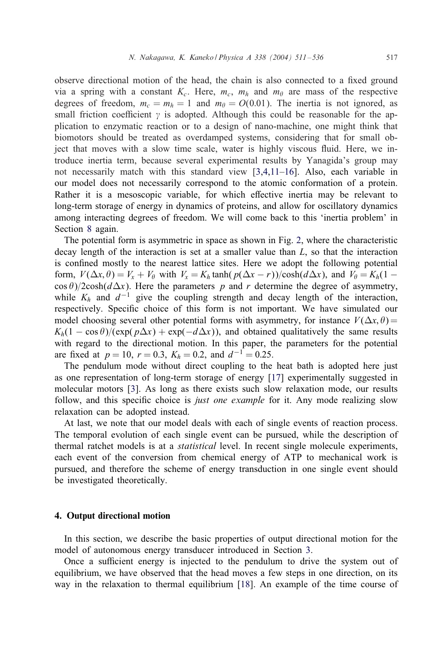<span id="page-6-0"></span>observe directional motion of the head, the chain is also connected to a fixed ground via a spring with a constant  $K_c$ . Here,  $m_c$ ,  $m_h$  and  $m_\theta$  are mass of the respective degrees of freedom,  $m_c = m_h = 1$  and  $m_\theta = O(0.01)$ . The inertia is not ignored, as small friction coefficient  $\gamma$  is adopted. Although this could be reasonable for the application to enzymatic reaction or to a design of nano-machine, one might think that biomotors should be treated as overdamped systems, considering that for small object that moves with a slow time scale, water is highly viscous fluid. Here, we introduce inertia term, because several experimental results by Yanagida's group may not necessarily match with this standard view  $[3,4,11-16]$ . Also, each variable in our model does not necessarily correspond to the atomic conformation of a protein. Rather it is a mesoscopic variable, for which effective inertia may be relevant to long-term storage of energy in dynamics of proteins, and allow for oscillatory dynamics among interacting degrees of freedom. We will come back to this 'inertia problem' in Section [8](#page-21-0) again.

The potential form is asymmetric in space as shown in Fig. [2,](#page-5-0) where the characteristic decay length of the interaction is set at a smaller value than  $L$ , so that the interaction is confined mostly to the nearest lattice sites. Here we adopt the following potential form,  $V(\Delta x, \theta) = V_x + V_\theta$  with  $V_x = K_h \tanh(p(\Delta x - r))/\cosh(d\Delta x)$ , and  $V_\theta = K_h(1 \cos \theta$ /2cosh( $d\Delta x$ ). Here the parameters p and r determine the degree of asymmetry, while  $K_h$  and  $d^{-1}$  give the coupling strength and decay length of the interaction, respectively. Specific choice of this form is not important. We have simulated our model choosing several other potential forms with asymmetry, for instance  $V(\Delta x, \theta) =$  $K_h(1 - \cos \theta)/(\exp(\rho \Delta x) + \exp(-d\Delta x))$ , and obtained qualitatively the same results with regard to the directional motion. In this paper, the parameters for the potential are fixed at  $p = 10$ ,  $r = 0.3$ ,  $K_h = 0.2$ , and  $d^{-1} = 0.25$ .

The pendulum mode without direct coupling to the heat bath is adopted here just as one representation of long-term storage of energy [\[17\]](#page-24-0) experimentally suggested in molecular motors [\[3\]](#page-24-0). As long as there exists such slow relaxation mode, our results follow, and this specific choice is *just one example* for it. Any mode realizing slow relaxation can be adopted instead.

At last, we note that our model deals with each of single events of reaction process. The temporal evolution of each single event can be pursued, while the description of thermal ratchet models is at a *statistical* level. In recent single molecule experiments, each event of the conversion from chemical energy of ATP to mechanical work is pursued, and therefore the scheme of energy transduction in one single event should be investigated theoretically.

#### 4. Output directional motion

In this section, we describe the basic properties of output directional motion for the model of autonomous energy transducer introduced in Section [3.](#page-4-0)

Once a sufficient energy is injected to the pendulum to drive the system out of equilibrium, we have observed that the head moves a few steps in one direction, on its way in the relaxation to thermal equilibrium [\[18\]](#page-24-0). An example of the time course of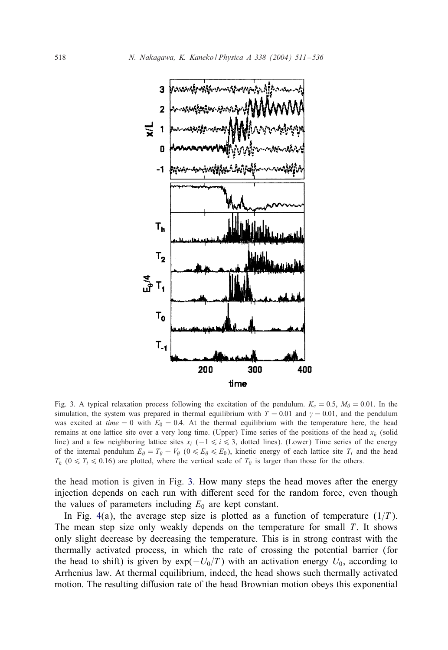<span id="page-7-0"></span>

Fig. 3. A typical relaxation process following the excitation of the pendulum.  $K_c = 0.5$ ,  $M_\theta = 0.01$ . In the simulation, the system was prepared in thermal equilibrium with  $T = 0.01$  and  $\gamma = 0.01$ , and the pendulum was excited at time = 0 with  $E_0 = 0.4$ . At the thermal equilibrium with the temperature here, the head remains at one lattice site over a very long time. (Upper) Time series of the positions of the head  $x<sub>h</sub>$  (solid line) and a few neighboring lattice sites  $x_i$  ( $-1 \le i \le 3$ , dotted lines). (Lower) Time series of the energy of the internal pendulum  $E_{\theta} = T_{\theta} + V_{\theta}$  ( $0 \le E_{\theta} \le E_0$ ), kinetic energy of each lattice site  $T_i$  and the head  $T_h$  ( $0 \le T_i \le 0.16$ ) are plotted, where the vertical scale of  $T_\theta$  is larger than those for the others.

the head motion is given in Fig. 3. How many steps the head moves after the energy injection depends on each run with different seed for the random force, even though the values of parameters including  $E_0$  are kept constant.

In Fig. [4\(](#page-8-0)a), the average step size is plotted as a function of temperature  $(1/T)$ . The mean step size only weakly depends on the temperature for small  $T$ . It shows only slight decrease by decreasing the temperature. This is in strong contrast with the thermally activated process, in which the rate of crossing the potential barrier (for the head to shift) is given by  $\exp(-U_0/T)$  with an activation energy  $U_0$ , according to Arrhenius law. At thermal equilibrium, indeed, the head shows such thermally activated motion. The resulting diffusion rate of the head Brownian motion obeys this exponential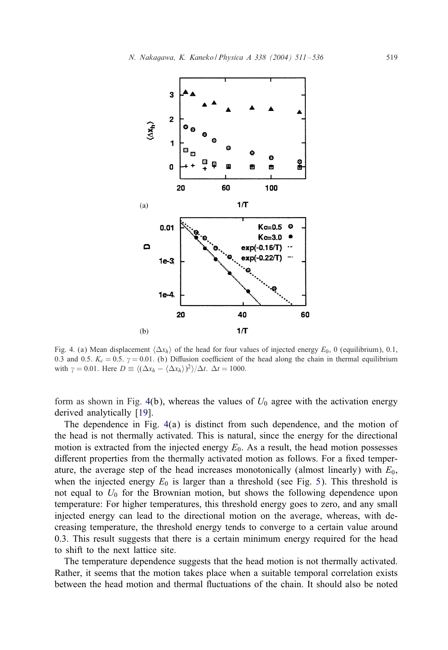<span id="page-8-0"></span>

Fig. 4. (a) Mean displacement  $\langle \Delta x_h \rangle$  of the head for four values of injected energy  $E_0$ , 0 (equilibrium), 0.1, 0.3 and 0.5.  $K_c = 0.5$ .  $\gamma = 0.01$ . (b) Diffusion coefficient of the head along the chain in thermal equilibrium with  $\gamma = 0.01$ . Here  $D \equiv \langle (\Delta x_h - \langle \Delta x_h \rangle)^2 \rangle / \Delta t$ .  $\Delta t = 1000$ .

form as shown in Fig. 4(b), whereas the values of  $U_0$  agree with the activation energy derived analytically [\[19\]](#page-25-0).

The dependence in Fig. 4(a) is distinct from such dependence, and the motion of the head is not thermally activated. This is natural, since the energy for the directional motion is extracted from the injected energy  $E_0$ . As a result, the head motion possesses different properties from the thermally activated motion as follows. For a fixed temperature, the average step of the head increases monotonically (almost linearly) with  $E_0$ , when the injected energy  $E_0$  is larger than a threshold (see Fig. [5\)](#page-9-0). This threshold is not equal to  $U_0$  for the Brownian motion, but shows the following dependence upon temperature: For higher temperatures, this threshold energy goes to zero, and any small injected energy can lead to the directional motion on the average, whereas, with decreasing temperature, the threshold energy tends to converge to a certain value around 0.3. This result suggests that there is a certain minimum energy required for the head to shift to the next lattice site.

The temperature dependence suggests that the head motion is not thermally activated. Rather, it seems that the motion takes place when a suitable temporal correlation exists between the head motion and thermal fluctuations of the chain. It should also be noted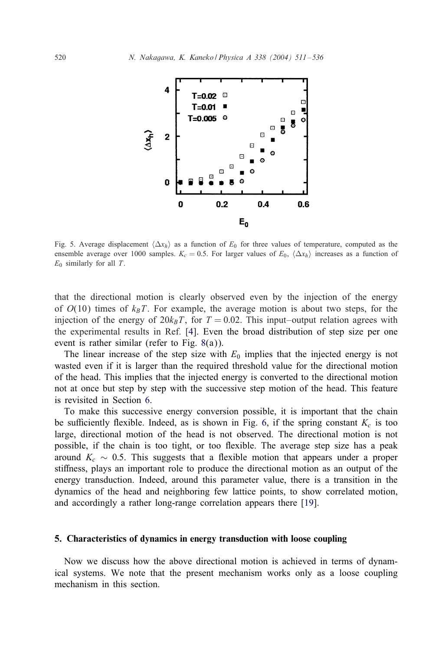<span id="page-9-0"></span>

Fig. 5. Average displacement  $\langle \Delta x_h \rangle$  as a function of E<sub>0</sub> for three values of temperature, computed as the ensemble average over 1000 samples.  $K_c = 0.5$ . For larger values of  $E_0$ ,  $\langle \Delta x_h \rangle$  increases as a function of  $E_0$  similarly for all T.

that the directional motion is clearly observed even by the injection of the energy of  $O(10)$  times of  $k_BT$ . For example, the average motion is about two steps, for the injection of the energy of  $20k_BT$ , for  $T = 0.02$ . This input–output relation agrees with the experimental results in Ref. [\[4\]](#page-24-0). Even the broad distribution of step size per one event is rather similar (refer to Fig. [8\(](#page-12-0)a)).

The linear increase of the step size with  $E_0$  implies that the injected energy is not wasted even if it is larger than the required threshold value for the directional motion of the head. This implies that the injected energy is converted to the directional motion not at once but step by step with the successive step motion of the head. This feature is revisited in Section [6.](#page-13-0)

To make this successive energy conversion possible, it is important that the chain be sufficiently flexible. Indeed, as is shown in Fig. [6,](#page-10-0) if the spring constant  $K_c$  is too large, directional motion of the head is not observed. The directional motion is not possible, if the chain is too tight, or too flexible. The average step size has a peak around  $K_c \sim 0.5$ . This suggests that a flexible motion that appears under a proper stiffness, plays an important role to produce the directional motion as an output of the energy transduction. Indeed, around this parameter value, there is a transition in the dynamics of the head and neighboring few lattice points, to show correlated motion, and accordingly a rather long-range correlation appears there [\[19\]](#page-25-0).

## 5. Characteristics of dynamics in energy transduction with loose coupling

Now we discuss how the above directional motion is achieved in terms of dynamical systems. We note that the present mechanism works only as a loose coupling mechanism in this section.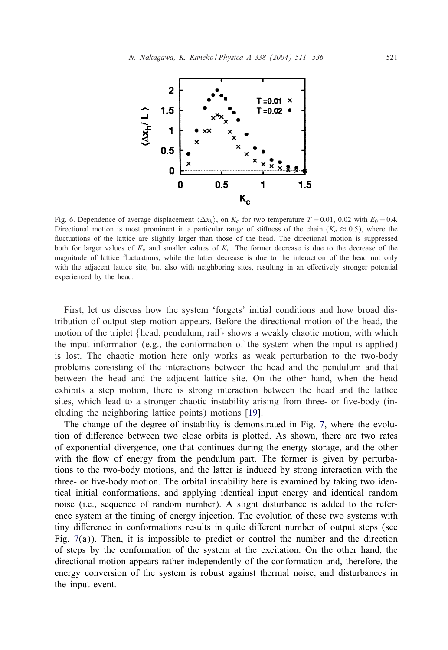<span id="page-10-0"></span>

Fig. 6. Dependence of average displacement  $\langle \Delta x_h \rangle$ , on K<sub>c</sub> for two temperature  $T = 0.01$ , 0.02 with  $E_0 = 0.4$ . Directional motion is most prominent in a particular range of stiffness of the chain ( $K_c \approx 0.5$ ), where the fluctuations of the lattice are slightly larger than those of the head. The directional motion is suppressed both for larger values of  $K_c$  and smaller values of  $K_c$ . The former decrease is due to the decrease of the magnitude of lattice fluctuations, while the latter decrease is due to the interaction of the head not only with the adjacent lattice site, but also with neighboring sites, resulting in an effectively stronger potential experienced by the head.

First, let us discuss how the system 'forgets' initial conditions and how broad distribution of output step motion appears. Before the directional motion of the head, the motion of the triplet  ${head, pendulum, rail}$  shows a weakly chaotic motion, with which the input information (e.g., the conformation of the system when the input is applied) is lost. The chaotic motion here only works as weak perturbation to the two-body problems consisting of the interactions between the head and the pendulum and that between the head and the adjacent lattice site. On the other hand, when the head exhibits a step motion, there is strong interaction between the head and the lattice sites, which lead to a stronger chaotic instability arising from three- or five-body (including the neighboring lattice points) motions [\[19\]](#page-25-0).

The change of the degree of instability is demonstrated in Fig. [7,](#page-11-0) where the evolution of difference between two close orbits is plotted. As shown, there are two rates of exponential divergence, one that continues during the energy storage, and the other with the flow of energy from the pendulum part. The former is given by perturbations to the two-body motions, and the latter is induced by strong interaction with the three- or five-body motion. The orbital instability here is examined by taking two identical initial conformations, and applying identical input energy and identical random noise (i.e., sequence of random number). A slight disturbance is added to the reference system at the timing of energy injection. The evolution of these two systems with tiny difference in conformations results in quite different number of output steps (see Fig. [7\(](#page-11-0)a)). Then, it is impossible to predict or control the number and the direction of steps by the conformation of the system at the excitation. On the other hand, the directional motion appears rather independently of the conformation and, therefore, the energy conversion of the system is robust against thermal noise, and disturbances in the input event.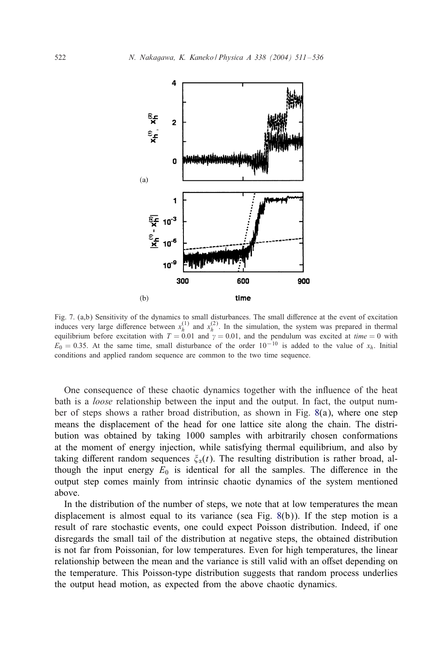<span id="page-11-0"></span>

Fig. 7. (a,b) Sensitivity of the dynamics to small disturbances. The small difference at the event of excitation induces very large difference between  $x_h^{(1)}$  and  $x_h^{(2)}$ . In the simulation, the system was prepared in thermal equilibrium before excitation with  $T = 0.01$  and  $\gamma = 0.01$ , and the pendulum was excited at time = 0 with  $E_0 = 0.35$ . At the same time, small disturbance of the order  $10^{-10}$  is added to the value of  $x_h$ . Initial conditions and applied random sequence are common to the two time sequence.

One consequence of these chaotic dynamics together with the influence of the heat bath is a *loose* relationship between the input and the output. In fact, the output number of steps shows a rather broad distribution, as shown in Fig.  $8(a)$  $8(a)$ , where one step means the displacement of the head for one lattice site along the chain. The distribution was obtained by taking 1000 samples with arbitrarily chosen conformations at the moment of energy injection, while satisfying thermal equilibrium, and also by taking different random sequences  $\xi_{\alpha}(t)$ . The resulting distribution is rather broad, although the input energy  $E_0$  is identical for all the samples. The difference in the output step comes mainly from intrinsic chaotic dynamics of the system mentioned above.

In the distribution of the number of steps, we note that at low temperatures the mean displacement is almost equal to its variance (sea Fig.  $8(b)$  $8(b)$ ). If the step motion is a result of rare stochastic events, one could expect Poisson distribution. Indeed, if one disregards the small tail of the distribution at negative steps, the obtained distribution is not far from Poissonian, for low temperatures. Even for high temperatures, the linear relationship between the mean and the variance is still valid with an offset depending on the temperature. This Poisson-type distribution suggests that random process underlies the output head motion, as expected from the above chaotic dynamics.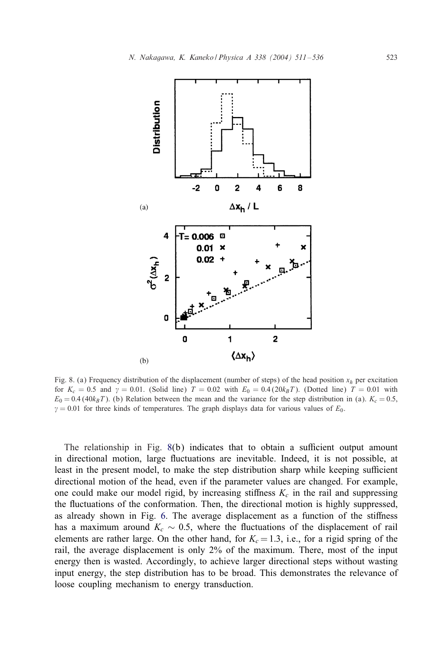<span id="page-12-0"></span>

Fig. 8. (a) Frequency distribution of the displacement (number of steps) of the head position  $x_h$  per excitation for  $K_c = 0.5$  and  $\gamma = 0.01$ . (Solid line)  $T = 0.02$  with  $E_0 = 0.4(20k_BT)$ . (Dotted line)  $T = 0.01$  with  $E_0 = 0.4 (40k_BT)$ . (b) Relation between the mean and the variance for the step distribution in (a).  $K_c = 0.5$ ,  $\gamma = 0.01$  for three kinds of temperatures. The graph displays data for various values of  $E_0$ .

The relationship in Fig.  $8(b)$  indicates that to obtain a sufficient output amount in directional motion, large fluctuations are inevitable. Indeed, it is not possible, at least in the present model, to make the step distribution sharp while keeping sufficient directional motion of the head, even if the parameter values are changed. For example, one could make our model rigid, by increasing stiffness  $K_c$  in the rail and suppressing the 6uctuations of the conformation. Then, the directional motion is highly suppressed, as already shown in Fig. [6.](#page-10-0) The average displacement as a function of the stiffness has a maximum around  $K_c \sim 0.5$ , where the fluctuations of the displacement of rail elements are rather large. On the other hand, for  $K_c = 1.3$ , i.e., for a rigid spring of the rail, the average displacement is only 2% of the maximum. There, most of the input energy then is wasted. Accordingly, to achieve larger directional steps without wasting input energy, the step distribution has to be broad. This demonstrates the relevance of loose coupling mechanism to energy transduction.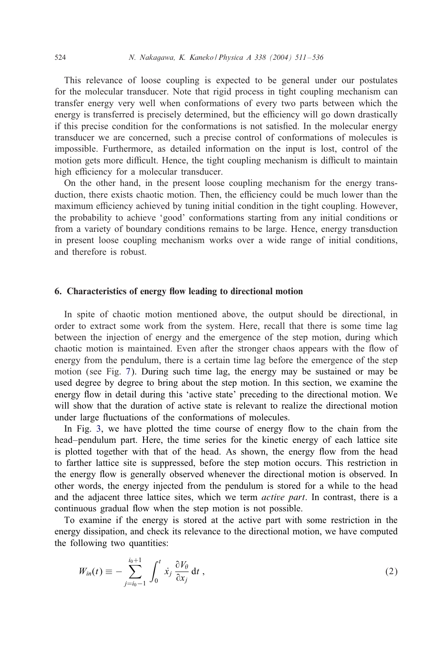<span id="page-13-0"></span>This relevance of loose coupling is expected to be general under our postulates for the molecular transducer. Note that rigid process in tight coupling mechanism can transfer energy very well when conformations of every two parts between which the energy is transferred is precisely determined, but the efficiency will go down drastically if this precise condition for the conformations is not satisfied. In the molecular energy transducer we are concerned, such a precise control of conformations of molecules is impossible. Furthermore, as detailed information on the input is lost, control of the motion gets more difficult. Hence, the tight coupling mechanism is difficult to maintain high efficiency for a molecular transducer.

On the other hand, in the present loose coupling mechanism for the energy transduction, there exists chaotic motion. Then, the efficiency could be much lower than the maximum efficiency achieved by tuning initial condition in the tight coupling. However, the probability to achieve 'good' conformations starting from any initial conditions or from a variety of boundary conditions remains to be large. Hence, energy transduction in present loose coupling mechanism works over a wide range of initial conditions, and therefore is robust.

#### 6. Characteristics of energy flow leading to directional motion

In spite of chaotic motion mentioned above, the output should be directional, in order to extract some work from the system. Here, recall that there is some time lag between the injection of energy and the emergence of the step motion, during which chaotic motion is maintained. Even after the stronger chaos appears with the 6ow of energy from the pendulum, there is a certain time lag before the emergence of the step motion(see Fig. [7\)](#page-11-0). During such time lag, the energy may be sustained or may be used degree by degree to bring about the step motion. In this section, we examine the energy flow in detail during this 'active state' preceding to the directional motion. We will show that the duration of active state is relevant to realize the directional motion under large fluctuations of the conformations of molecules.

In Fig. [3,](#page-7-0) we have plotted the time course of energy flow to the chain from the head–pendulum part. Here, the time series for the kinetic energy of each lattice site is plotted together with that of the head. As shown, the energy flow from the head to farther lattice site is suppressed, before the step motion occurs. This restriction in the energy flow is generally observed whenever the directional motion is observed. In other words, the energy injected from the pendulum is stored for a while to the head and the adjacent three lattice sites, which we term *active part*. In contrast, there is a continuous gradual flow when the step motion is not possible.

To examine if the energy is stored at the active part with some restriction in the energy dissipation, and check its relevance to the directional motion, we have computed the following two quantities:

$$
W_{in}(t) \equiv -\sum_{j=i_0-1}^{i_0+1} \int_0^t \dot{x}_j \, \frac{\partial V_\theta}{\partial x_j} \, \mathrm{d}t \,,\tag{2}
$$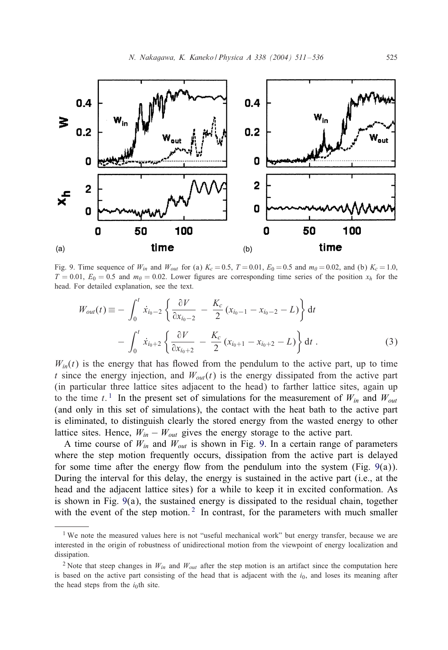<span id="page-14-0"></span>

Fig. 9. Time sequence of  $W_{in}$  and  $W_{out}$  for (a)  $K_c = 0.5$ ,  $T = 0.01$ ,  $E_0 = 0.5$  and  $m_\theta = 0.02$ , and (b)  $K_c = 1.0$ ,  $T = 0.01$ ,  $E_0 = 0.5$  and  $m_\theta = 0.02$ . Lower figures are corresponding time series of the position  $x_h$  for the head. For detailed explanation, see the text.

$$
W_{out}(t) \equiv -\int_0^t \dot{x}_{i_0-2} \left\{ \frac{\partial V}{\partial x_{i_0-2}} - \frac{K_c}{2} (x_{i_0-1} - x_{i_0-2} - L) \right\} dt - \int_0^t \dot{x}_{i_0+2} \left\{ \frac{\partial V}{\partial x_{i_0+2}} - \frac{K_c}{2} (x_{i_0+1} - x_{i_0+2} - L) \right\} dt .
$$
 (3)

 $W_{in}(t)$  is the energy that has flowed from the pendulum to the active part, up to time t since the energy injection, and  $W_{out}(t)$  is the energy dissipated from the active part (inparticular three lattice sites adjacent to the head) to farther lattice sites, againup to the time t.<sup>1</sup> In the present set of simulations for the measurement of  $W_{in}$  and  $W_{out}$ (and only in this set of simulations), the contact with the heat bath to the active part is eliminated, to distinguish clearly the stored energy from the wasted energy to other lattice sites. Hence,  $W_{in} - W_{out}$  gives the energy storage to the active part.

A time course of  $W_{in}$  and  $W_{out}$  is shown in Fig. 9. In a certain range of parameters where the step motion frequently occurs, dissipation from the active part is delayed for some time after the energy flow from the pendulum into the system (Fig. 9(a)). During the interval for this delay, the energy is sustained in the active part (i.e., at the head and the adjacent lattice sites) for a while to keep it in excited conformation. As is shown in Fig.  $9(a)$ , the sustained energy is dissipated to the residual chain, together with the event of the step motion.<sup>2</sup> In contrast, for the parameters with much smaller

<sup>&</sup>lt;sup>1</sup> We note the measured values here is not "useful mechanical work" but energy transfer, because we are interested in the origin of robustness of unidirectional motion from the viewpoint of energy localization and dissipation.

<sup>&</sup>lt;sup>2</sup> Note that steep changes in  $W_{in}$  and  $W_{out}$  after the step motion is an artifact since the computation here is based on the active part consisting of the head that is adjacent with the  $i<sub>0</sub>$ , and loses its meaning after the head steps from the  $i_0$ th site.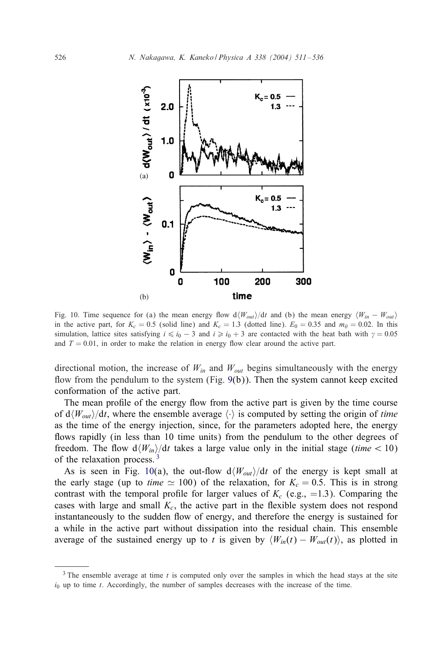<span id="page-15-0"></span>

Fig. 10. Time sequence for (a) the mean energy flow  $d\langle W_{out}\rangle/dt$  and (b) the mean energy  $\langle W_{in} - W_{out}\rangle$ in the active part, for  $K_c = 0.5$  (solid line) and  $K_c = 1.3$  (dotted line).  $E_0 = 0.35$  and  $m_\theta = 0.02$ . In this simulation, lattice sites satisfying  $i \le i_0 - 3$  and  $i \ge i_0 + 3$  are contacted with the heat bath with  $\gamma = 0.05$ and  $T = 0.01$ , in order to make the relation in energy flow clear around the active part.

directional motion, the increase of  $W_{in}$  and  $W_{out}$  begins simultaneously with the energy flow from the pendulum to the system (Fig.  $9(b)$  $9(b)$ ). Then the system cannot keep excited conformation of the active part.

The mean profile of the energy flow from the active part is given by the time course of  $d\langle W_{out}\rangle/dt$ , where the ensemble average  $\langle \cdot \rangle$  is computed by setting the origin of *time* as the time of the energy injection, since, for the parameters adopted here, the energy flows rapidly (in less than 10 time units) from the pendulum to the other degrees of freedom. The flow  $d\langle W_{in}\rangle/dt$  takes a large value only in the initial stage (time < 10) of the relaxation process.  $3$ 

As is seen in Fig. 10(a), the out-flow  $d\langle W_{out}\rangle/dt$  of the energy is kept small at the early stage (up to *time*  $\simeq$  100) of the relaxation, for  $K_c = 0.5$ . This is in strong contrast with the temporal profile for larger values of  $K_c$  (e.g., =1.3). Comparing the cases with large and small  $K_c$ , the active part in the flexible system does not respond instantaneously to the sudden flow of energy, and therefore the energy is sustained for a while in the active part without dissipation into the residual chain. This ensemble average of the sustained energy up to t is given by  $\langle W_{in}(t) - W_{out}(t) \rangle$ , as plotted in

<sup>&</sup>lt;sup>3</sup> The ensemble average at time t is computed only over the samples in which the head stays at the site  $i_0$  up to time t. Accordingly, the number of samples decreases with the increase of the time.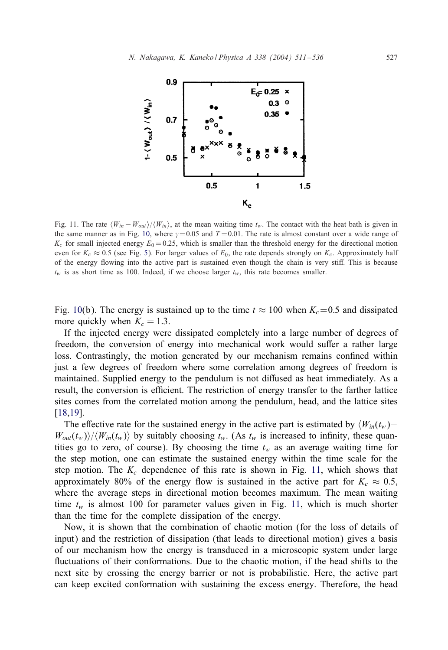<span id="page-16-0"></span>

Fig. 11. The rate  $\langle W_{in} - W_{out} \rangle / \langle W_{in} \rangle$ , at the mean waiting time  $t_w$ . The contact with the heat bath is given in the same manner as in Fig. [10,](#page-15-0) where  $\gamma = 0.05$  and  $T = 0.01$ . The rate is almost constant over a wide range of  $K_c$  for small injected energy  $E_0 = 0.25$ , which is smaller than the threshold energy for the directional motion even for  $K_c \approx 0.5$  (see Fig. [5\)](#page-9-0). For larger values of  $E_0$ , the rate depends strongly on  $K_c$ . Approximately half of the energy flowing into the active part is sustained even though the chain is very stiff. This is because  $t_w$  is as short time as 100. Indeed, if we choose larger  $t_w$ , this rate becomes smaller.

Fig. [10\(](#page-15-0)b). The energy is sustained up to the time  $t \approx 100$  when  $K_c=0.5$  and dissipated more quickly when  $K_c = 1.3$ .

If the injected energy were dissipated completely into a large number of degrees of freedom, the conversion of energy into mechanical work would suffer a rather large loss. Contrastingly, the motion generated by our mechanism remains confined within just a few degrees of freedom where some correlation among degrees of freedom is maintained. Supplied energy to the pendulum is not diffused as heat immediately. As a result, the conversion is efficient. The restriction of energy transfer to the farther lattice sites comes from the correlated motion among the pendulum, head, and the lattice sites [\[18](#page-24-0)[,19\]](#page-25-0).

The effective rate for the sustained energy in the active part is estimated by  $\langle W_{in}(t_w) W_{out}(t_w)\rangle/\langle W_{in}(t_w)\rangle$  by suitably choosing  $t_w$ . (As  $t_w$  is increased to infinity, these quantities go to zero, of course). By choosing the time  $t_w$  as an average waiting time for the step motion, one can estimate the sustained energy within the time scale for the step motion. The  $K_c$  dependence of this rate is shown in Fig. 11, which shows that approximately 80% of the energy flow is sustained in the active part for  $K_c \approx 0.5$ , where the average steps in directional motion becomes maximum. The mean waiting time  $t_w$  is almost 100 for parameter values given in Fig. 11, which is much shorter than the time for the complete dissipation of the energy.

Now, it is shown that the combination of chaotic motion (for the loss of details of input) and the restriction of dissipation (that leads to directional motion) gives a basis of our mechanism how the energy is transduced in a microscopic system under large fluctuations of their conformations. Due to the chaotic motion, if the head shifts to the next site by crossing the energy barrier or not is probabilistic. Here, the active part can keep excited conformation with sustaining the excess energy. Therefore, the head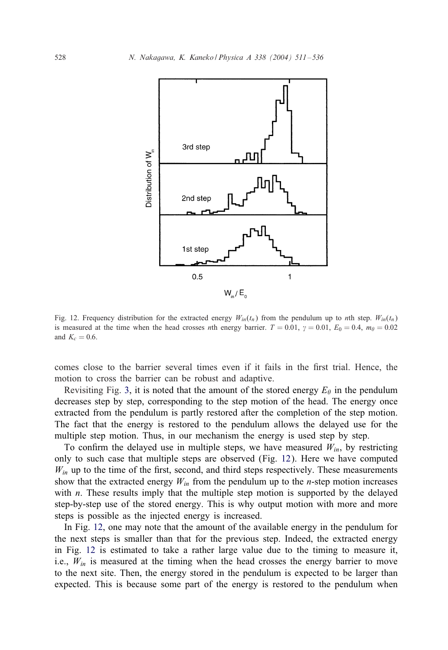<span id="page-17-0"></span>

Fig. 12. Frequency distribution for the extracted energy  $W_{in}(t_n)$  from the pendulum up to nth step.  $W_{in}(t_n)$ is measured at the time when the head crosses nth energy barrier.  $T = 0.01$ ,  $\gamma = 0.01$ ,  $E_0 = 0.4$ ,  $m_\theta = 0.02$ and  $K_c = 0.6$ .

comes close to the barrier several times even if it fails in the first trial. Hence, the motion to cross the barrier can be robust and adaptive.

Revisiting Fig. [3,](#page-7-0) it is noted that the amount of the stored energy  $E_{\theta}$  in the pendulum decreases step by step, corresponding to the step motion of the head. The energy once extracted from the pendulum is partly restored after the completion of the step motion. The fact that the energy is restored to the pendulum allows the delayed use for the multiple step motion. Thus, in our mechanism the energy is used step by step.

To confirm the delayed use in multiple steps, we have measured  $W_{in}$ , by restricting only to such case that multiple steps are observed (Fig. 12). Here we have computed  $W_{in}$  up to the time of the first, second, and third steps respectively. These measurements show that the extracted energy  $W_{in}$  from the pendulum up to the *n*-step motion increases with  $n$ . These results imply that the multiple step motion is supported by the delayed step-by-step use of the stored energy. This is why output motion with more and more steps is possible as the injected energy is increased.

In Fig. 12, one may note that the amount of the available energy in the pendulum for the next steps is smaller than that for the previous step. Indeed, the extracted energy in Fig. 12 is estimated to take a rather large value due to the timing to measure it, i.e.,  $W_{in}$  is measured at the timing when the head crosses the energy barrier to move to the next site. Then, the energy stored in the pendulum is expected to be larger than expected. This is because some part of the energy is restored to the pendulum when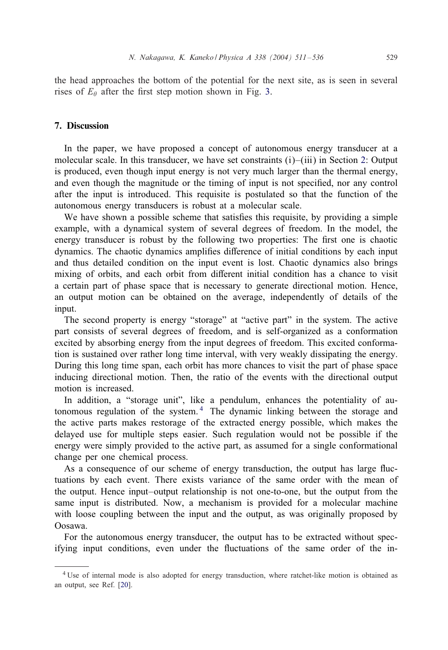<span id="page-18-0"></span>the head approaches the bottom of the potential for the next site, as is seen in several rises of  $E_\theta$  after the first step motion shown in Fig. [3.](#page-7-0)

## 7. Discussion

In the paper, we have proposed a concept of autonomous energy transducer at a molecular scale. In this transducer, we have set constraints  $(i)$ – $(iii)$  in Section [2:](#page-2-0) Output is produced, even though input energy is not very much larger than the thermal energy, and even though the magnitude or the timing of input is not specified, nor any control after the input is introduced. This requisite is postulated so that the function of the autonomous energy transducers is robust at a molecular scale.

We have shown a possible scheme that satisfies this requisite, by providing a simple example, with a dynamical system of several degrees of freedom. In the model, the energy transducer is robust by the following two properties: The first one is chaotic dynamics. The chaotic dynamics amplifies difference of initial conditions by each input and thus detailed condition on the input event is lost. Chaotic dynamics also brings mixing of orbits, and each orbit from different initial condition has a chance to visit a certain part of phase space that is necessary to generate directional motion. Hence, an output motion can be obtained on the average, independently of details of the input.

The second property is energy "storage" at "active part" in the system. The active part consists of several degrees of freedom, and is self-organized as a conformation excited by absorbing energy from the input degrees of freedom. This excited conformation is sustained over rather long time interval, with very weakly dissipating the energy. During this long time span, each orbit has more chances to visit the part of phase space inducing directional motion. Then, the ratio of the events with the directional output motion is increased.

In addition, a "storage unit", like a pendulum, enhances the potentiality of autonomous regulation of the system.<sup>4</sup> The dynamic linking between the storage and the active parts makes restorage of the extracted energy possible, which makes the delayed use for multiple steps easier. Such regulationwould not be possible if the energy were simply provided to the active part, as assumed for a single conformational change per one chemical process.

As a consequence of our scheme of energy transduction, the output has large fluctuations by each event. There exists variance of the same order with the mean of the output. Hence input–output relationship is not one-to-one, but the output from the same input is distributed. Now, a mechanism is provided for a molecular machine with loose coupling between the input and the output, as was originally proposed by Oosawa.

For the autonomous energy transducer, the output has to be extracted without specif ying input conditions, even under the fluctuations of the same order of the in-

<sup>4</sup> Use of internal mode is also adopted for energy transduction, where ratchet-like motion is obtained as an output, see Ref. [\[20\]](#page-25-0).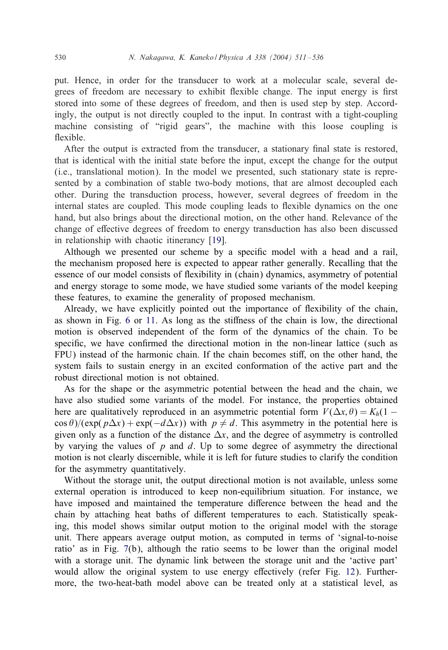put. Hence, in order for the transducer to work at a molecular scale, several degrees of freedom are necessary to exhibit flexible change. The input energy is first stored into some of these degrees of freedom, and then is used step by step. Accordingly, the output is not directly coupled to the input. In contrast with a tight-coupling machine consisting of "rigid gears", the machine with this loose coupling is flexible.

After the output is extracted from the transducer, a stationary final state is restored, that is identical with the initial state before the input, except the change for the output (i.e., translational motion). In the model we presented, such stationary state is represented by a combination of stable two-body motions, that are almost decoupled each other. During the transduction process, however, several degrees of freedom in the internal states are coupled. This mode coupling leads to flexible dynamics on the one hand, but also brings about the directional motion, on the other hand. Relevance of the change of effective degrees of freedom to energy transduction has also been discussed in relationship with chaotic itinerancy [\[19\]](#page-25-0).

Although we presented our scheme by a specific model with a head and a rail, the mechanism proposed here is expected to appear rather generally. Recalling that the essence of our model consists of 6exibility in (chain) dynamics, asymmetry of potential and energy storage to some mode, we have studied some variants of the model keeping these features, to examine the generality of proposed mechanism.

Already, we have explicitly pointed out the importance of flexibility of the chain, as shown in Fig. [6](#page-10-0) or [11.](#page-16-0) As long as the stiffness of the chain is low, the directional motion is observed independent of the form of the dynamics of the chain. To be specific, we have confirmed the directional motion in the non-linear lattice (such as FPU) instead of the harmonic chain. If the chain becomes stiff, on the other hand, the system fails to sustain energy in an excited conformation of the active part and the robust directional motion is not obtained.

As for the shape or the asymmetric potential between the head and the chain, we have also studied some variants of the model. For instance, the properties obtained here are qualitatively reproduced in an asymmetric potential form  $V(\Delta x, \theta) = K_h(1 (\cos \theta)/(\exp(\rho\Delta x) + \exp(-d\Delta x))$  with  $p \neq d$ . This asymmetry in the potential here is given only as a function of the distance  $\Delta x$ , and the degree of asymmetry is controlled by varying the values of  $p$  and  $d$ . Up to some degree of asymmetry the directional motion is not clearly discernible, while it is left for future studies to clarify the condition for the asymmetry quantitatively.

Without the storage unit, the output directional motion is not available, unless some external operation is introduced to keep non-equilibrium situation. For instance, we have imposed and maintained the temperature difference between the head and the chain by attaching heat baths of different temperatures to each. Statistically speaking, this model shows similar output motion to the original model with the storage unit. There appears average output motion, as computed in terms of 'signal-to-noise ratio' as in Fig. [7\(](#page-11-0)b), although the ratio seems to be lower than the original model with a storage unit. The dynamic link between the storage unit and the 'active part' would allow the original system to use energy effectively (refer Fig. [12\)](#page-17-0). Furthermore, the two-heat-bath model above canbe treated only at a statistical level, as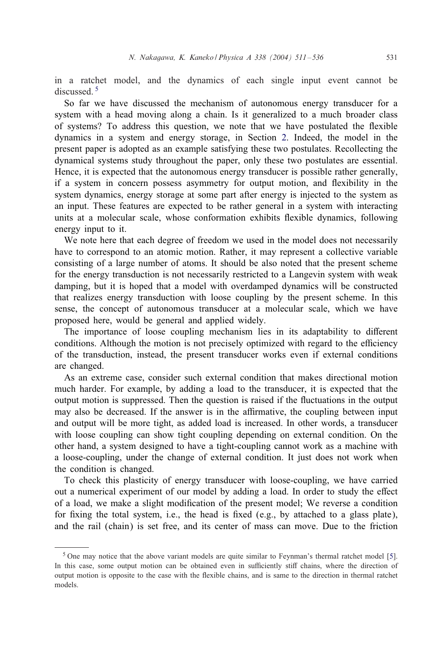in a ratchet model, and the dynamics of each single input event cannot be discussed.<sup>5</sup>

So far we have discussed the mechanism of autonomous energy transducer for a system with a head moving along a chain. Is it generalized to a much broader class of systems? To address this question, we note that we have postulated the flexible dynamics in a system and energy storage, in Section [2.](#page-2-0) Indeed, the model in the present paper is adopted as an example satisfying these two postulates. Recollecting the dynamical systems study throughout the paper, only these two postulates are essential. Hence, it is expected that the autonomous energy transducer is possible rather generally, if a system in concern possess asymmetry for output motion, and flexibility in the system dynamics, energy storage at some part after energy is injected to the system as an input. These features are expected to be rather general in a system with interacting units at a molecular scale, whose conformation exhibits flexible dynamics, following energy input to it.

We note here that each degree of freedom we used in the model does not necessarily have to correspond to an atomic motion. Rather, it may represent a collective variable consisting of a large number of atoms. It should be also noted that the present scheme for the energy transduction is not necessarily restricted to a Langevin system with weak damping, but it is hoped that a model with overdamped dynamics will be constructed that realizes energy transduction with loose coupling by the present scheme. In this sense, the concept of autonomous transducer at a molecular scale, which we have proposed here, would be general and applied widely.

The importance of loose coupling mechanism lies in its adaptability to different conditions. Although the motion is not precisely optimized with regard to the efficiency of the transduction, instead, the present transducer works even if external conditions are changed.

As an extreme case, consider such external condition that makes directional motion much harder. For example, by adding a load to the transducer, it is expected that the output motion is suppressed. Then the question is raised if the fluctuations in the output may also be decreased. If the answer is in the affirmative, the coupling between input and output will be more tight, as added load is increased. In other words, a transducer with loose coupling can show tight coupling depending on external condition. On the other hand, a system designed to have a tight-coupling cannot work as a machine with a loose-coupling, under the change of external condition. It just does not work when the condition is changed.

To check this plasticity of energy transducer with loose-coupling, we have carried out a numerical experiment of our model by adding a load. In order to study the effect of a load, we make a slight modification of the present model; We reverse a condition for fixing the total system, i.e., the head is fixed (e.g., by attached to a glass plate), and the rail (chain) is set free, and its center of mass can move. Due to the friction

 $<sup>5</sup>$  One may notice that the above variant models are quite similar to Feynman's thermal ratchet model [\[5\]](#page-24-0).</sup> In this case, some output motion can be obtained even in sufficiently stiff chains, where the direction of output motion is opposite to the case with the flexible chains, and is same to the direction in thermal ratchet models.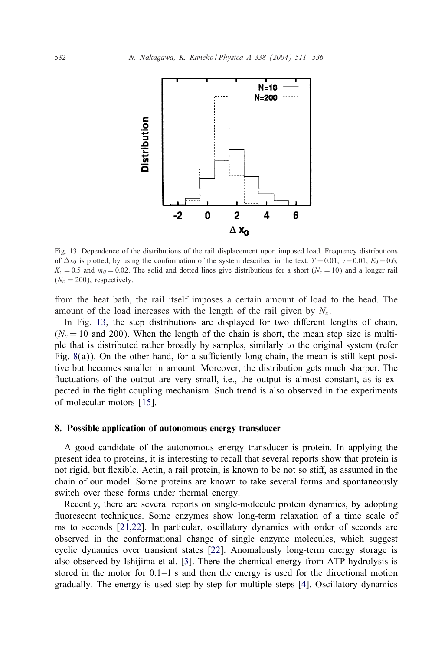<span id="page-21-0"></span>

Fig. 13. Dependence of the distributions of the rail displacement upon imposed load. Frequency distributions of  $\Delta x_0$  is plotted, by using the conformation of the system described in the text.  $T = 0.01$ ,  $\gamma = 0.01$ ,  $E_0 = 0.6$ ,  $K_c = 0.5$  and  $m_\theta = 0.02$ . The solid and dotted lines give distributions for a short  $(N_c = 10)$  and a longer rail  $(N_c = 200)$ , respectively.

from the heat bath, the rail itself imposes a certain amount of load to the head. The amount of the load increases with the length of the rail given by  $N_c$ .

In Fig. 13, the step distributions are displayed for two different lengths of chain,  $(N_c = 10$  and 200). When the length of the chain is short, the mean step size is multiple that is distributed rather broadly by samples, similarly to the original system (refer Fig.  $8(a)$  $8(a)$ ). On the other hand, for a sufficiently long chain, the mean is still kept positive but becomes smaller in amount. Moreover, the distribution gets much sharper. The fluctuations of the output are very small, i.e., the output is almost constant, as is expected in the tight coupling mechanism. Such trend is also observed in the experiments of molecular motors [\[15\]](#page-24-0).

#### 8. Possible application of autonomous energy transducer

A good candidate of the autonomous energy transducer is protein. In applying the present idea to proteins, it is interesting to recall that several reports show that protein is not rigid, but flexible. Actin, a rail protein, is known to be not so stiff, as assumed in the chain of our model. Some proteins are known to take several forms and spontaneously switch over these forms under thermal energy.

Recently, there are several reports on single-molecule protein dynamics, by adopting fluorescent techniques. Some enzymes show long-term relaxation of a time scale of ms to seconds [\[21,22\]](#page-25-0). In particular, oscillatory dynamics with order of seconds are observed in the conformational change of single enzyme molecules, which suggest cyclic dynamics over transient states [\[22\]](#page-25-0). Anomalously long-term energy storage is also observed by Ishijima et al. [\[3\]](#page-24-0). There the chemical energy from ATP hydrolysis is stored in the motor for  $0.1-1$  s and then the energy is used for the directional motion gradually. The energy is used step-by-step for multiple steps [\[4\]](#page-24-0). Oscillatory dynamics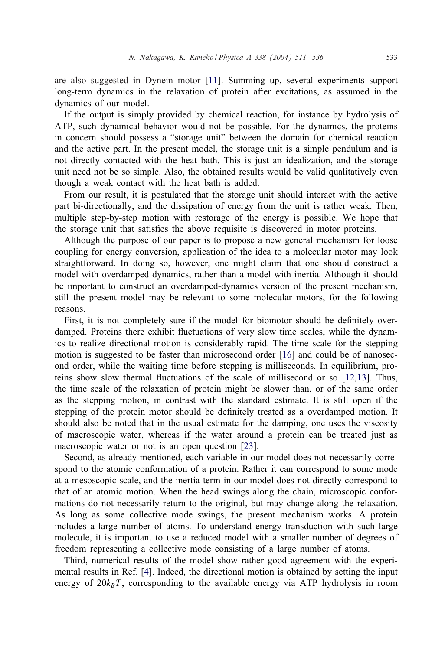are also suggested inDyneinmotor [\[11\]](#page-24-0). Summing up, several experiments support long-term dynamics in the relaxation of protein after excitations, as assumed in the dynamics of our model.

If the output is simply provided by chemical reaction, for instance by hydrolysis of ATP, such dynamical behavior would not be possible. For the dynamics, the proteins in concern should possess a "storage unit" between the domain for chemical reaction and the active part. In the present model, the storage unit is a simple pendulum and is not directly contacted with the heat bath. This is just an idealization, and the storage unit need not be so simple. Also, the obtained results would be valid qualitatively even though a weak contact with the heat bath is added.

From our result, it is postulated that the storage unit should interact with the active part bi-directionally, and the dissipation of energy from the unit is rather weak. Then, multiple step-by-step motion with restorage of the energy is possible. We hope that the storage unit that satisfies the above requisite is discovered in motor proteins.

Although the purpose of our paper is to propose a new general mechanism for loose coupling for energy conversion, application of the idea to a molecular motor may look straightforward. In doing so, however, one might claim that one should construct a model with overdamped dynamics, rather than a model with inertia. Although it should be important to construct an overdamped-dynamics version of the present mechanism, still the present model may be relevant to some molecular motors, for the following reasons.

First, it is not completely sure if the model for biomotor should be definitely overdamped. Proteins there exhibit fluctuations of very slow time scales, while the dynamics to realize directional motion is considerably rapid. The time scale for the stepping motion is suggested to be faster than microsecond order  $[16]$  and could be of nanosecond order, while the waiting time before stepping is milliseconds. In equilibrium, proteins show slow thermal fluctuations of the scale of millisecond or so  $[12,13]$ . Thus, the time scale of the relaxation of protein might be slower than, or of the same order as the stepping motion, in contrast with the standard estimate. It is still open if the stepping of the protein motor should be definitely treated as a overdamped motion. It should also be noted that in the usual estimate for the damping, one uses the viscosity of macroscopic water, whereas if the water around a protein can be treated just as macroscopic water or not is an open question [\[23\]](#page-25-0).

Second, as already mentioned, each variable in our model does not necessarily correspond to the atomic conformation of a protein. Rather it can correspond to some mode at a mesoscopic scale, and the inertia term in our model does not directly correspond to that of an atomic motion. When the head swings along the chain, microscopic conformations do not necessarily return to the original, but may change along the relaxation. As long as some collective mode swings, the present mechanism works. A protein includes a large number of atoms. To understand energy transduction with such large molecule, it is important to use a reduced model with a smaller number of degrees of freedom representing a collective mode consisting of a large number of atoms.

Third, numerical results of the model show rather good agreement with the experimental results in Ref. [\[4\]](#page-24-0). Indeed, the directional motion is obtained by setting the input energy of  $20k_BT$ , corresponding to the available energy via ATP hydrolysis in room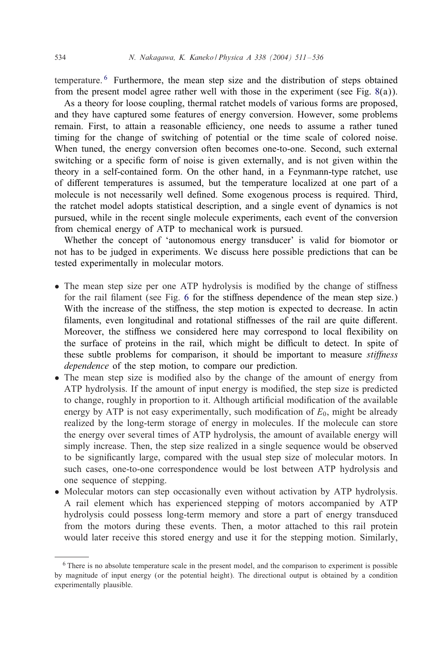temperature. <sup>6</sup> Furthermore, the mean step size and the distribution of steps obtained from the present model agree rather well with those in the experiment (see Fig. [8\(](#page-12-0)a)).

As a theory for loose coupling, thermal ratchet models of various forms are proposed, and they have captured some features of energy conversion. However, some problems remain. First, to attain a reasonable efficiency, one needs to assume a rather tuned timing for the change of switching of potential or the time scale of colored noise. When tuned, the energy conversion often becomes one-to-one. Second, such external switching or a specific form of noise is given externally, and is not given within the theory in a self-contained form. On the other hand, in a Feynmann-type ratchet, use of different temperatures is assumed, but the temperature localized at one part of a molecule is not necessarily well defined. Some exogenous process is required. Third, the ratchet model adopts statistical description, and a single event of dynamics is not pursued, while in the recent single molecule experiments, each event of the conversion from chemical energy of ATP to mechanical work is pursued.

Whether the concept of 'autonomous energy transducer' is valid for biomotor or not has to be judged in experiments. We discuss here possible predictions that can be tested experimentally in molecular motors.

- The mean step size per one ATP hydrolysis is modified by the change of stiffness for the rail filament (see Fig. [6](#page-10-0) for the stiffness dependence of the mean step size.) With the increase of the stiffness, the step motion is expected to decrease. In actin filaments, even longitudinal and rotational stiffnesses of the rail are quite different. Moreover, the stiffness we considered here may correspond to local flexibility on the surface of proteins in the rail, which might be difficult to detect. In spite of these subtle problems for comparison, it should be important to measure *stiffness dependence* of the step motion, to compare our prediction.
- The mean step size is modified also by the change of the amount of energy from ATP hydrolysis. If the amount of input energy is modified, the step size is predicted to change, roughly in proportion to it. Although artificial modification of the available energy by ATP is not easy experimentally, such modification of  $E_0$ , might be already realized by the long-term storage of energy in molecules. If the molecule can store the energy over several times of ATP hydrolysis, the amount of available energy will simply increase. Then, the step size realized in a single sequence would be observed to be significantly large, compared with the usual step size of molecular motors. In such cases, one-to-one correspondence would be lost between ATP hydrolysis and one sequence of stepping.
- Molecular motors can step occasionally even without activation by ATP hydrolysis. A rail element which has experienced stepping of motors accompanied by ATP hydrolysis could possess long-term memory and store a part of energy transduced from the motors during these events. Then, a motor attached to this rail protein would later receive this stored energy and use it for the stepping motion. Similarly,

<sup>6</sup> There is no absolute temperature scale in the present model, and the comparison to experiment is possible by magnitude of input energy (or the potential height). The directional output is obtained by a condition experimentally plausible.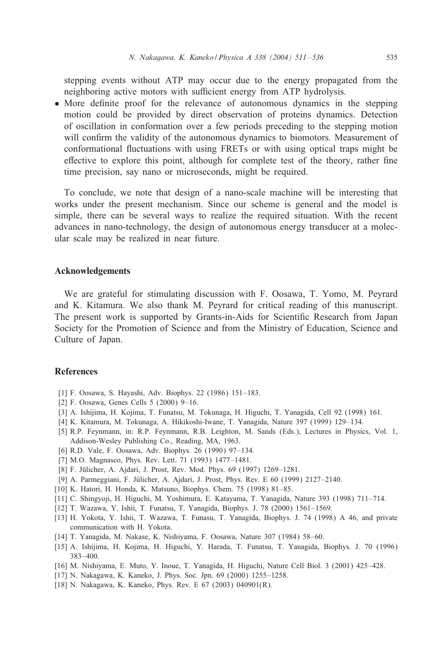<span id="page-24-0"></span>stepping events without ATP may occur due to the energy propagated from the neighboring active motors with sufficient energy from ATP hydrolysis.

• More definite proof for the relevance of autonomous dynamics in the stepping motion could be provided by direct observation of proteins dynamics. Detection of oscillation in conformation over a few periods preceding to the stepping motion will confirm the validity of the autonomous dynamics to biomotors. Measurement of conformational fluctuations with using FRETs or with using optical traps might be effective to explore this point, although for complete test of the theory, rather fine time precision, say nano or microseconds, might be required.

To conclude, we note that design of a nano-scale machine will be interesting that works under the present mechanism. Since our scheme is general and the model is simple, there can be several ways to realize the required situation. With the recent advances in nano-technology, the design of autonomous energy transducer at a molecular scale may be realized in near future.

#### Acknowledgements

We are grateful for stimulating discussion with F. Oosawa, T. Yomo, M. Peyrard and K. Kitamura. We also thank M. Peyrard for critical reading of this manuscript. The present work is supported by Grants-in-Aids for Scientific Research from Japan Society for the Promotion of Science and from the Ministry of Education, Science and Culture of Japan.

## References

- [1] F. Oosawa, S. Hayashi, Adv. Biophys. 22 (1986) 151–183.
- [2] F. Oosawa, Genes Cells 5 (2000) 9–16.
- [3] A. Ishijima, H. Kojima, T. Funatsu, M. Tokunaga, H. Higuchi, T. Yanagida, Cell 92 (1998) 161.
- [4] K. Kitamura, M. Tokunaga, A. Hikikoshi-Iwane, T. Yanagida, Nature 397 (1999) 129–134.
- [5] R.P. Feynmann, in: R.P. Feynmann, R.B. Leighton, M. Sands (Eds.), Lectures in Physics, Vol. 1, Addison-Wesley Publishing Co., Reading, MA, 1963.
- [6] R.D. Vale, F. Oosawa, Adv. Biophys. 26 (1990) 97–134.
- [7] M.O. Magnasco, Phys. Rev. Lett. 71 (1993) 1477–1481.
- [8] F. Jülicher, A. Ajdari, J. Prost, Rev. Mod. Phys. 69 (1997) 1269-1281.
- [9] A. Parmeggiani, F. Jülicher, A. Ajdari, J. Prost, Phys. Rev. E 60 (1999) 2127-2140.
- [10] K. Hatori, H. Honda, K. Matsuno, Biophys. Chem. 75 (1998) 81–85.
- [11] C. Shingyoji, H. Higuchi, M. Yoshimura, E. Katayama, T. Yanagida, Nature 393 (1998) 711–714.
- [12] T. Wazawa, Y. Ishii, T. Funatsu, T. Yanagida, Biophys. J. 78 (2000) 1561–1569.
- [13] H. Yokota, Y. Ishii, T. Wazawa, T. Funasu, T. Yanagida, Biophys. J. 74 (1998) A 46, and private communication with H. Yokota.
- [14] T. Yanagida, M. Nakase, K. Nishiyama, F. Oosawa, Nature 307 (1984) 58–60.
- [15] A. Ishijima, H. Kojima, H. Higuchi, Y. Harada, T. Funatsu, T. Yanagida, Biophys. J. 70 (1996) 383–400.
- [16] M. Nishiyama, E. Muto, Y. Inoue, T. Yanagida, H. Higuchi, Nature Cell Biol. 3 (2001) 425–428.
- [17] N. Nakagawa, K. Kaneko, J. Phys. Soc. Jpn. 69 (2000) 1255–1258.
- [18] N. Nakagawa, K. Kaneko, Phys. Rev. E 67 (2003) 040901(R).